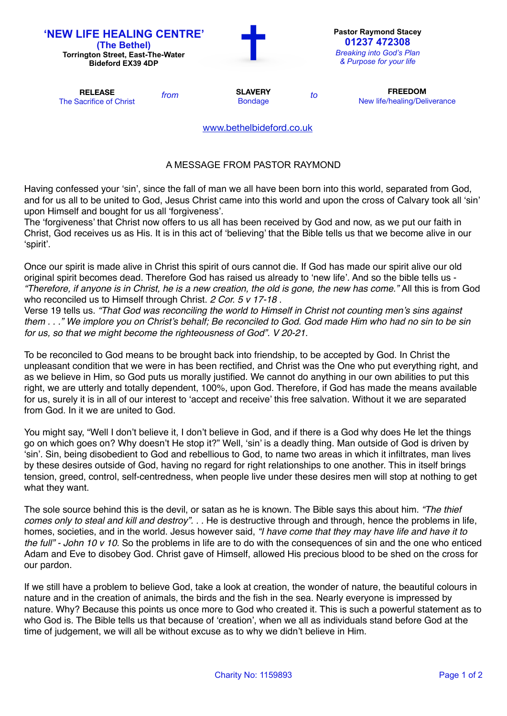| <b>'NEW LIFE HEALING CENTRE'</b><br>(The Bethel)<br><b>Torrington Street, East-The-Water</b><br><b>Bideford EX39 4DP</b> |      |                                  |    | <b>Pastor Raymond Stacey</b><br>01237 472308<br><b>Breaking into God's Plan</b><br>& Purpose for your life |
|--------------------------------------------------------------------------------------------------------------------------|------|----------------------------------|----|------------------------------------------------------------------------------------------------------------|
| <b>RELEASE</b><br>The Sacrifice of Christ                                                                                | from | <b>SLAVERY</b><br><b>Bondage</b> | to | <b>FREEDOM</b><br>New life/healing/Deliverance                                                             |
|                                                                                                                          |      | www.bethelbideford.co.uk         |    |                                                                                                            |

## A MESSAGE FROM PASTOR RAYMOND

Having confessed your 'sin', since the fall of man we all have been born into this world, separated from God, and for us all to be united to God, Jesus Christ came into this world and upon the cross of Calvary took all 'sin' upon Himself and bought for us all 'forgiveness'.

The 'forgiveness' that Christ now offers to us all has been received by God and now, as we put our faith in Christ, God receives us as His. It is in this act of 'believing' that the Bible tells us that we become alive in our 'spirit'.

Once our spirit is made alive in Christ this spirit of ours cannot die. If God has made our spirit alive our old original spirit becomes dead. Therefore God has raised us already to 'new life'. And so the bible tells us - *"Therefore, if anyone is in Christ, he is a new creation, the old is gone, the new has come."* All this is from God who reconciled us to Himself through Christ. *2 Cor. 5 v 17-18* .

Verse 19 tells us. *"That God was reconciling the world to Himself in Christ not counting men's sins against them . . ." We implore you on Christ's behalf; Be reconciled to God. God made Him who had no sin to be sin for us, so that we might become the righteousness of God". V 20-21.*

To be reconciled to God means to be brought back into friendship, to be accepted by God. In Christ the unpleasant condition that we were in has been rectified, and Christ was the One who put everything right, and as we believe in Him, so God puts us morally justified. We cannot do anything in our own abilities to put this right, we are utterly and totally dependent, 100%, upon God. Therefore, if God has made the means available for us, surely it is in all of our interest to 'accept and receive' this free salvation. Without it we are separated from God. In it we are united to God.

You might say, "Well I don't believe it, I don't believe in God, and if there is a God why does He let the things go on which goes on? Why doesn't He stop it?" Well, 'sin' is a deadly thing. Man outside of God is driven by 'sin'. Sin, being disobedient to God and rebellious to God, to name two areas in which it infiltrates, man lives by these desires outside of God, having no regard for right relationships to one another. This in itself brings tension, greed, control, self-centredness, when people live under these desires men will stop at nothing to get what they want.

The sole source behind this is the devil, or satan as he is known. The Bible says this about him. *"The thief comes only to steal and kill and destroy*". . . He is destructive through and through, hence the problems in life, homes, societies, and in the world. Jesus however said, *"I have come that they may have life and have it to the full" - John 10 v 10.* So the problems in life are to do with the consequences of sin and the one who enticed Adam and Eve to disobey God. Christ gave of Himself, allowed His precious blood to be shed on the cross for our pardon.

If we still have a problem to believe God, take a look at creation, the wonder of nature, the beautiful colours in nature and in the creation of animals, the birds and the fish in the sea. Nearly everyone is impressed by nature. Why? Because this points us once more to God who created it. This is such a powerful statement as to who God is. The Bible tells us that because of 'creation', when we all as individuals stand before God at the time of judgement, we will all be without excuse as to why we didn't believe in Him.